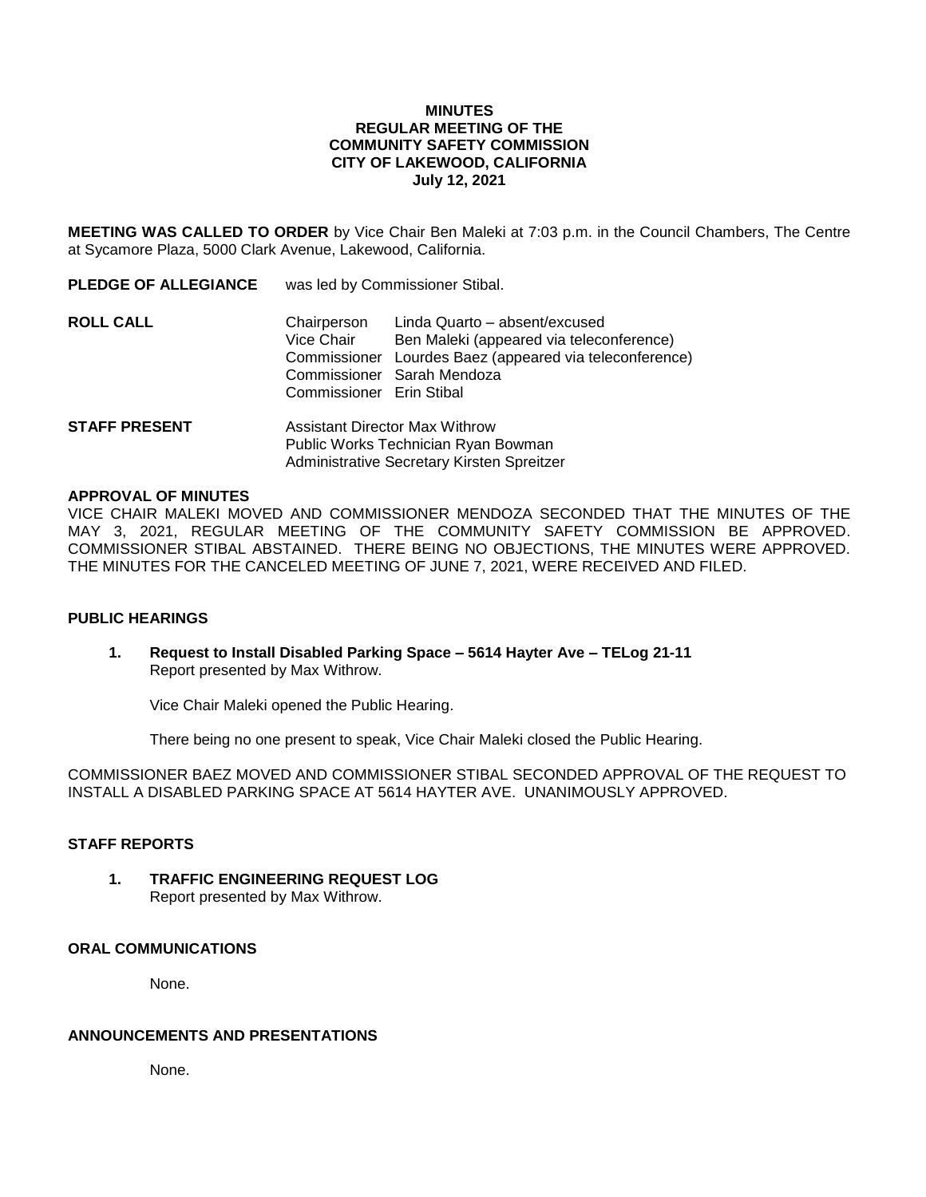### **MINUTES REGULAR MEETING OF THE COMMUNITY SAFETY COMMISSION CITY OF LAKEWOOD, CALIFORNIA July 12, 2021**

**MEETING WAS CALLED TO ORDER** by Vice Chair Ben Maleki at 7:03 p.m. in the Council Chambers, The Centre at Sycamore Plaza, 5000 Clark Avenue, Lakewood, California.

| <b>PLEDGE OF ALLEGIANCE</b> | was led by Commissioner Stibal.                                              |                                                                                                                                                                    |
|-----------------------------|------------------------------------------------------------------------------|--------------------------------------------------------------------------------------------------------------------------------------------------------------------|
| <b>ROLL CALL</b>            | Chairperson<br>Vice Chair<br>Commissioner Erin Stibal                        | Linda Quarto - absent/excused<br>Ben Maleki (appeared via teleconference)<br>Commissioner Lourdes Baez (appeared via teleconference)<br>Commissioner Sarah Mendoza |
| <b>STAFF PRESENT</b>        | <b>Assistant Director Max Withrow</b><br>Public Works Technician Ryan Bowman |                                                                                                                                                                    |

#### **APPROVAL OF MINUTES**

VICE CHAIR MALEKI MOVED AND COMMISSIONER MENDOZA SECONDED THAT THE MINUTES OF THE MAY 3, 2021, REGULAR MEETING OF THE COMMUNITY SAFETY COMMISSION BE APPROVED. COMMISSIONER STIBAL ABSTAINED. THERE BEING NO OBJECTIONS, THE MINUTES WERE APPROVED. THE MINUTES FOR THE CANCELED MEETING OF JUNE 7, 2021, WERE RECEIVED AND FILED.

Administrative Secretary Kirsten Spreitzer

#### **PUBLIC HEARINGS**

**1. Request to Install Disabled Parking Space – 5614 Hayter Ave – TELog 21-11** Report presented by Max Withrow.

Vice Chair Maleki opened the Public Hearing.

There being no one present to speak, Vice Chair Maleki closed the Public Hearing.

COMMISSIONER BAEZ MOVED AND COMMISSIONER STIBAL SECONDED APPROVAL OF THE REQUEST TO INSTALL A DISABLED PARKING SPACE AT 5614 HAYTER AVE. UNANIMOUSLY APPROVED.

### **STAFF REPORTS**

**1. TRAFFIC ENGINEERING REQUEST LOG** Report presented by Max Withrow.

## **ORAL COMMUNICATIONS**

None.

### **ANNOUNCEMENTS AND PRESENTATIONS**

None.